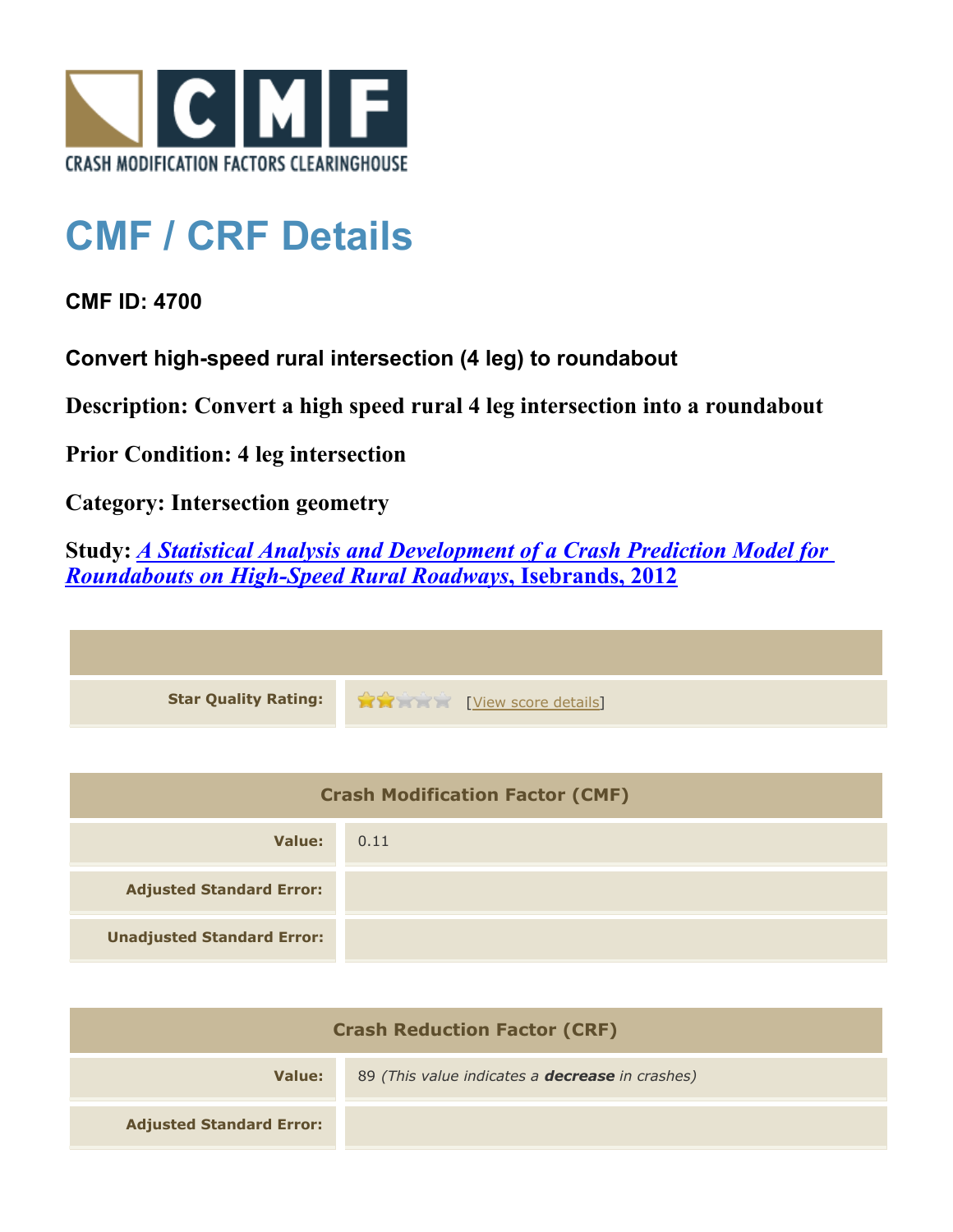

## **CMF / CRF Details**

**CMF ID: 4700**

**Convert high-speed rural intersection (4 leg) to roundabout**

**Description: Convert a high speed rural 4 leg intersection into a roundabout**

**Prior Condition: 4 leg intersection**

**Category: Intersection geometry**

**Study:** *[A Statistical Analysis and Development of a Crash Prediction Model for](http://www.cmfclearinghouse.org/study_detail.cfm?stid=304) [Roundabouts on High-Speed Rural Roadways](http://www.cmfclearinghouse.org/study_detail.cfm?stid=304)***[, Isebrands, 2012](http://www.cmfclearinghouse.org/study_detail.cfm?stid=304)**

| Star Quality Rating: 19 20 [View score details] |
|-------------------------------------------------|

| <b>Crash Modification Factor (CMF)</b> |      |
|----------------------------------------|------|
| Value:                                 | 0.11 |
| <b>Adjusted Standard Error:</b>        |      |
| <b>Unadjusted Standard Error:</b>      |      |

| <b>Crash Reduction Factor (CRF)</b> |                                                        |
|-------------------------------------|--------------------------------------------------------|
| Value:                              | 89 (This value indicates a <b>decrease</b> in crashes) |
| <b>Adjusted Standard Error:</b>     |                                                        |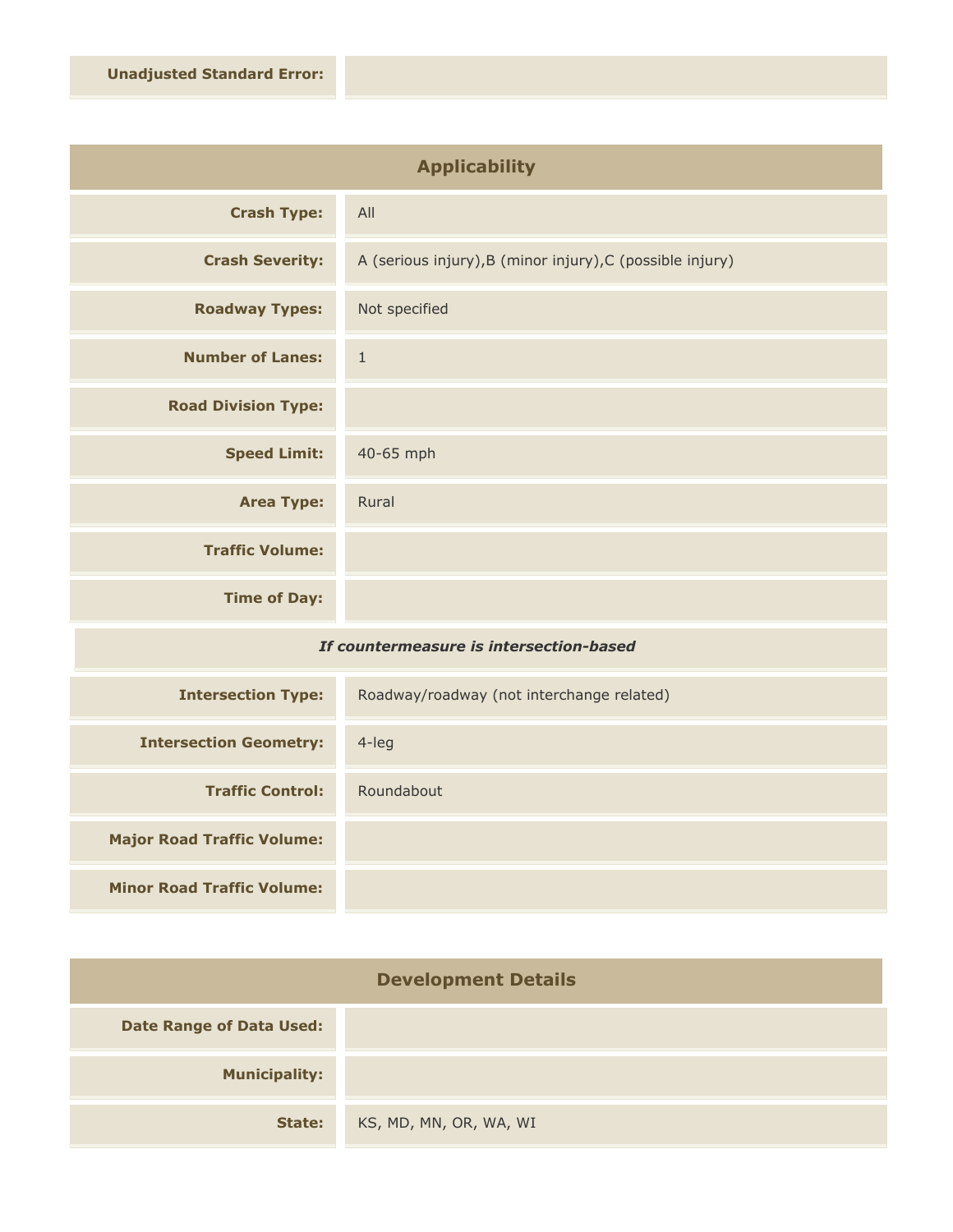| <b>Applicability</b>       |                                                           |
|----------------------------|-----------------------------------------------------------|
| <b>Crash Type:</b>         | All                                                       |
| <b>Crash Severity:</b>     | A (serious injury), B (minor injury), C (possible injury) |
| <b>Roadway Types:</b>      | Not specified                                             |
| <b>Number of Lanes:</b>    | $1\,$                                                     |
| <b>Road Division Type:</b> |                                                           |
| <b>Speed Limit:</b>        | 40-65 mph                                                 |
| <b>Area Type:</b>          | Rural                                                     |
| <b>Traffic Volume:</b>     |                                                           |
| <b>Time of Day:</b>        |                                                           |
| $-1$                       | .                                                         |

## *If countermeasure is intersection-based*

| <b>Intersection Type:</b>         | Roadway/roadway (not interchange related) |
|-----------------------------------|-------------------------------------------|
| <b>Intersection Geometry:</b>     | $4$ -leg                                  |
| <b>Traffic Control:</b>           | Roundabout                                |
| <b>Major Road Traffic Volume:</b> |                                           |
| <b>Minor Road Traffic Volume:</b> |                                           |

| <b>Development Details</b>      |                        |
|---------------------------------|------------------------|
| <b>Date Range of Data Used:</b> |                        |
| <b>Municipality:</b>            |                        |
| State:                          | KS, MD, MN, OR, WA, WI |